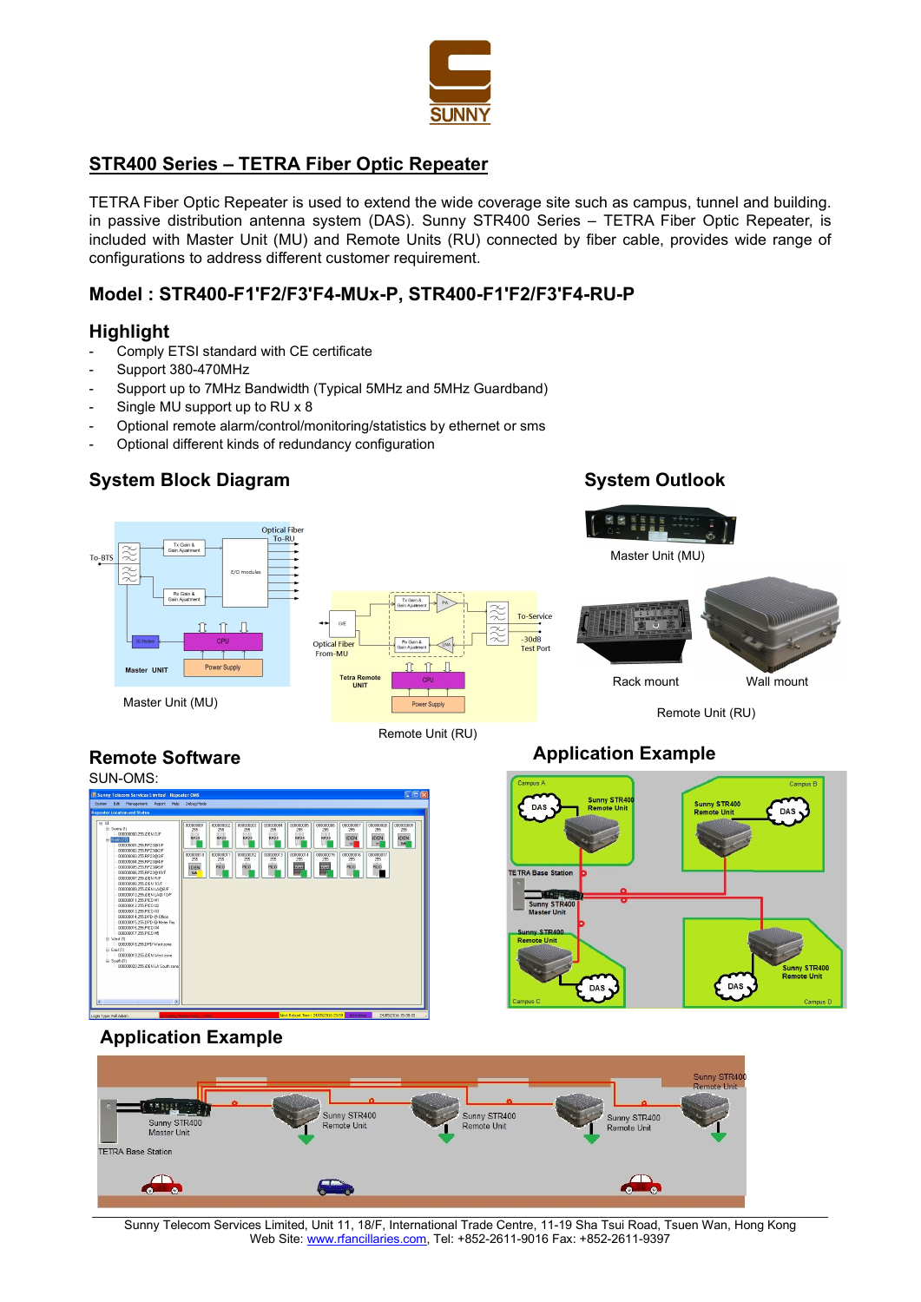

# STR400 Series – TETRA Fiber Optic Repeater

TETRA Fiber Optic Repeater is used to extend the wide coverage site such as campus, tunnel and building. in passive distribution antenna system (DAS). Sunny STR400 Series – TETRA Fiber Optic Repeater, is included with Master Unit (MU) and Remote Units (RU) connected by fiber cable, provides wide range of configurations to address different customer requirement.

## Model : STR400-F1'F2/F3'F4-MUx-P, STR400-F1'F2/F3'F4-RU-P

## **Highlight**

- Comply ETSI standard with CE certificate
- Support 380-470MHz
- Support up to 7MHz Bandwidth (Typical 5MHz and 5MHz Guardband)
- Single MU support up to RU x 8
- Optional remote alarm/control/monitoring/statistics by ethernet or sms
- Optional different kinds of redundancy configuration

# System Block Diagram System Outlook

Remote Software



Remote Unit (RU)

# Application Example





# Application Example



Sunny Telecom Services Limited, Unit 11, 18/F, International Trade Centre, 11-19 Sha Tsui Road, Tsuen Wan, Hong Kong Web Site: www.rfancillaries.com, Tel: +852-2611-9016 Fax: +852-2611-9397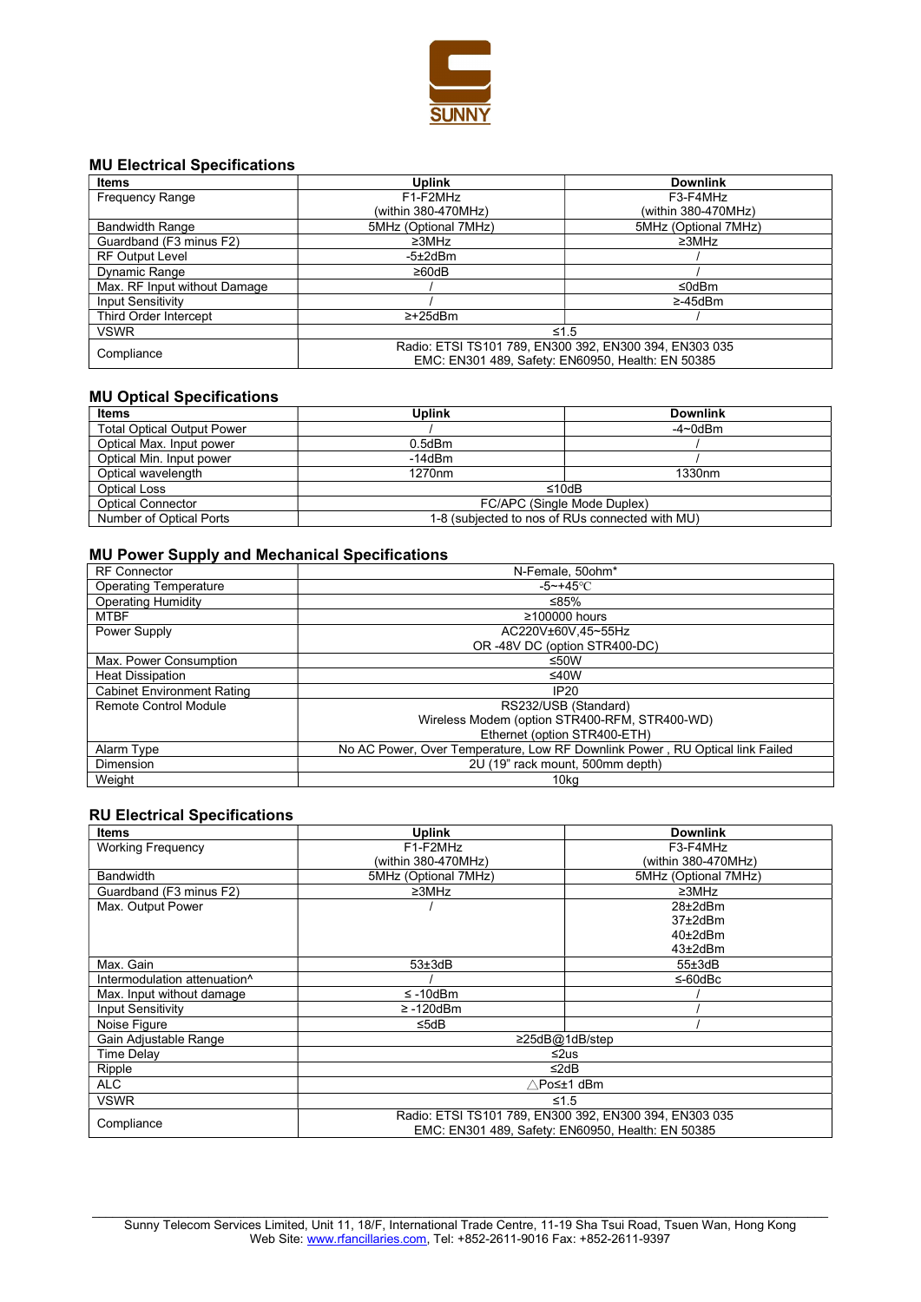

## MU Electrical Specifications

| <b>Items</b>                 | <b>Uplink</b>        | <b>Downlink</b>                                                                                             |
|------------------------------|----------------------|-------------------------------------------------------------------------------------------------------------|
| <b>Frequency Range</b>       | F1-F2MHz             | F3-F4MHz                                                                                                    |
|                              | (within 380-470MHz)  | (within 380-470MHz)                                                                                         |
| <b>Bandwidth Range</b>       | 5MHz (Optional 7MHz) | 5MHz (Optional 7MHz)                                                                                        |
| Guardband (F3 minus F2)      | $\geq 3$ MHz         | $\geq 3$ MHz                                                                                                |
| <b>RF Output Level</b>       | $-5\pm2$ d $Bm$      |                                                                                                             |
| Dynamic Range                | $\geq 60$ dB         |                                                                                                             |
| Max. RF Input without Damage |                      | ≤0dBm                                                                                                       |
| <b>Input Sensitivity</b>     |                      | $\geq -45$ dBm                                                                                              |
| Third Order Intercept        | $\geq$ +25dBm        |                                                                                                             |
| <b>VSWR</b>                  |                      | $\leq 1.5$                                                                                                  |
| Compliance                   |                      | Radio: ETSI TS101 789, EN300 392, EN300 394, EN303 035<br>EMC: EN301 489, Safety: EN60950, Health: EN 50385 |

#### MU Optical Specifications

| <b>Items</b>                      | <b>Uplink</b>      | <b>Downlink</b>                                                                                                                                        |
|-----------------------------------|--------------------|--------------------------------------------------------------------------------------------------------------------------------------------------------|
| <b>Total Optical Output Power</b> |                    | $-4\negmedspace\negmedspace\negmedspace$ -4 $\negmedspace\negmedspace\negmedspace\negmedspace\negmedspace\negthinspace\negthinspace 0$ d $\mathsf{Bm}$ |
| Optical Max. Input power          | $0.5$ d $Bm$       |                                                                                                                                                        |
| Optical Min. Input power          | $-14dBm$           |                                                                                                                                                        |
| Optical wavelength                | 1270 <sub>nm</sub> | 1330 <sub>nm</sub>                                                                                                                                     |
| Optical Loss                      |                    | ≤10dB                                                                                                                                                  |
| <b>Optical Connector</b>          |                    | FC/APC (Single Mode Duplex)                                                                                                                            |
| Number of Optical Ports           |                    | 1-8 (subjected to nos of RUs connected with MU)                                                                                                        |

## MU Power Supply and Mechanical Specifications

| <b>RF</b> Connector               | N-Female, 50ohm*                                                             |
|-----------------------------------|------------------------------------------------------------------------------|
| <b>Operating Temperature</b>      | $-5 \sim +45$ °C                                                             |
| Operating Humidity                | ≤85%                                                                         |
| <b>MTBF</b>                       | $\geq$ 100000 hours                                                          |
| Power Supply                      | AC220V±60V.45~55Hz                                                           |
|                                   | OR -48V DC (option STR400-DC)                                                |
| Max. Power Consumption            | ≤50W                                                                         |
| <b>Heat Dissipation</b>           | ≤40W                                                                         |
| <b>Cabinet Environment Rating</b> | IP20                                                                         |
| Remote Control Module             | RS232/USB (Standard)                                                         |
|                                   | Wireless Modem (option STR400-RFM, STR400-WD)                                |
|                                   | Ethernet (option STR400-ETH)                                                 |
| Alarm Type                        | No AC Power, Over Temperature, Low RF Downlink Power, RU Optical link Failed |
| Dimension                         | 2U (19" rack mount, 500mm depth)                                             |
| Weight                            | 10 <sub>kg</sub>                                                             |

#### RU Electrical Specifications

| <b>Items</b>                 | <b>Uplink</b>                                                                                               | <b>Downlink</b>      |
|------------------------------|-------------------------------------------------------------------------------------------------------------|----------------------|
| <b>Working Frequency</b>     | F1-F2MHz                                                                                                    | F3-F4MHz             |
|                              | (within 380-470MHz)                                                                                         | (within 380-470MHz)  |
| <b>Bandwidth</b>             | 5MHz (Optional 7MHz)                                                                                        | 5MHz (Optional 7MHz) |
| Guardband (F3 minus F2)      | $\geq 3$ MHz                                                                                                | $\geq 3$ MHz         |
| Max. Output Power            |                                                                                                             | $28\pm2$ d $Bm$      |
|                              |                                                                                                             | $37\pm2$ d $Bm$      |
|                              |                                                                                                             | $40\pm2$ d $Bm$      |
|                              |                                                                                                             | 43±2dBm              |
| Max. Gain                    | $53\pm3$ d $B$                                                                                              | 55±3dB               |
| Intermodulation attenuation^ |                                                                                                             | ≤-60dBc              |
| Max. Input without damage    | $\leq$ -10dBm                                                                                               |                      |
| <b>Input Sensitivity</b>     | $\geq$ -120dBm                                                                                              |                      |
| Noise Figure                 | ≤5dB                                                                                                        |                      |
| Gain Adjustable Range        |                                                                                                             | ≥25dB@1dB/step       |
| Time Delay                   | ≤2us                                                                                                        |                      |
| Ripple                       | ≤2dB                                                                                                        |                      |
| ALC                          | ∧Po≤±1 dBm                                                                                                  |                      |
| <b>VSWR</b>                  | ≤1.5                                                                                                        |                      |
| Compliance                   | Radio: ETSI TS101 789, EN300 392, EN300 394, EN303 035<br>EMC: EN301 489, Safety: EN60950, Health: EN 50385 |                      |